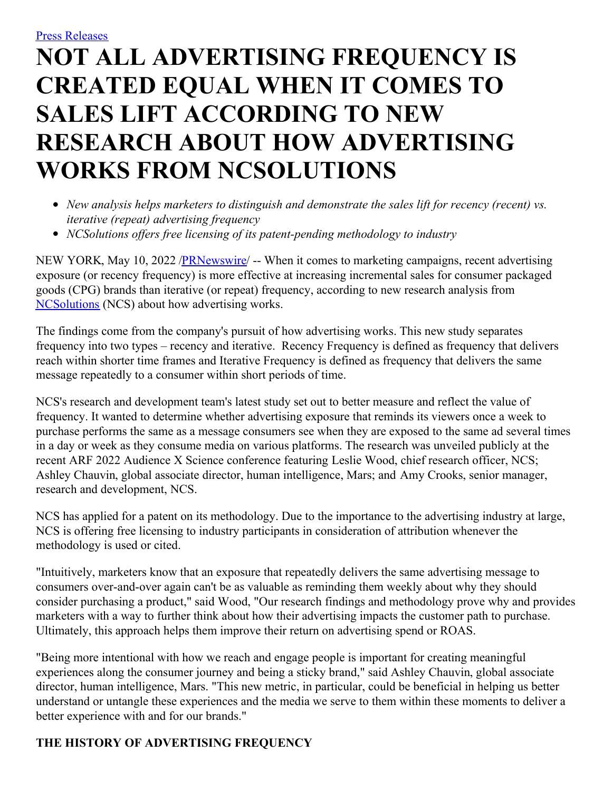# **NOT ALL ADVERTISING FREQUENCY IS CREATED EQUAL WHEN IT COMES TO SALES LIFT ACCORDING TO NEW RESEARCH ABOUT HOW ADVERTISING WORKS FROM NCSOLUTIONS**

- *New analysis helps marketers to distinguish and demonstrate the sales lift for recency (recent) vs. iterative (repeat) advertising frequency*
- *NCSolutions of ers free licensing of its patent-pending methodology to industry*

NEW YORK, May 10, 2022 /**PRNewswire/** -- When it comes to marketing campaigns, recent advertising exposure (or recency frequency) is more effective at increasing incremental sales for consumer packaged goods (CPG) brands than iterative (or repeat) frequency, according to new research analysis from [NCSolutions](https://c212.net/c/link/?t=0&l=en&o=3531129-1&h=2152457540&u=http%3A%2F%2Fwww.ncsolutions.com%2F&a=NCSolutions) (NCS) about how advertising works.

The findings come from the company's pursuit of how advertising works. This new study separates frequency into two types – recency and iterative. Recency Frequency is defined as frequency that delivers reach within shorter time frames and Iterative Frequency is defined as frequency that delivers the same message repeatedly to a consumer within short periods of time.

NCS's research and development team's latest study set out to better measure and reflect the value of frequency. It wanted to determine whether advertising exposure that reminds its viewers once a week to purchase performs the same as a message consumers see when they are exposed to the same ad several times in a day or week as they consume media on various platforms. The research was unveiled publicly at the recent ARF 2022 Audience X Science conference featuring Leslie Wood, chief research officer, NCS; Ashley Chauvin, global associate director, human intelligence, Mars; and Amy Crooks, senior manager, research and development, NCS.

NCS has applied for a patent on its methodology. Due to the importance to the advertising industry at large, NCS is offering free licensing to industry participants in consideration of attribution whenever the methodology is used or cited.

"Intuitively, marketers know that an exposure that repeatedly delivers the same advertising message to consumers over-and-over again can't be as valuable as reminding them weekly about why they should consider purchasing a product," said Wood, "Our research findings and methodology prove why and provides marketers with a way to further think about how their advertising impacts the customer path to purchase. Ultimately, this approach helps them improve their return on advertising spend or ROAS.

"Being more intentional with how we reach and engage people is important for creating meaningful experiences along the consumer journey and being a sticky brand," said Ashley Chauvin, global associate director, human intelligence, Mars. "This new metric, in particular, could be beneficial in helping us better understand or untangle these experiences and the media we serve to them within these moments to deliver a better experience with and for our brands."

## **THE HISTORY OF ADVERTISING FREQUENCY**